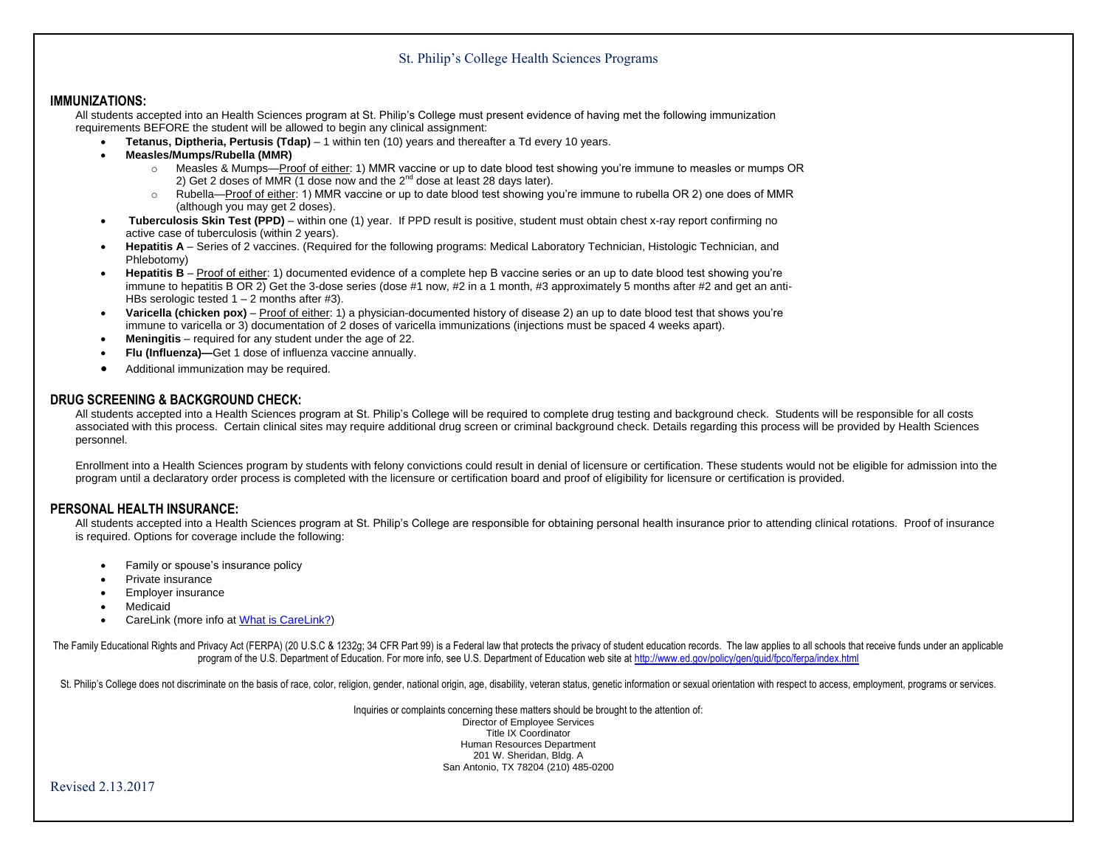## St. Philip's College Health Sciences Programs

## **IMMUNIZATIONS:**

All students accepted into an Health Sciences program at St. Philip's College must present evidence of having met the following immunization requirements BEFORE the student will be allowed to begin any clinical assignment:

- **Tetanus, Diptheria, Pertusis (Tdap)** 1 within ten (10) years and thereafter a Td every 10 years.
- **Measles/Mumps/Rubella (MMR)**
	- o Measles & Mumps—Proof of either: 1) MMR vaccine or up to date blood test showing you're immune to measles or mumps OR 2) Get 2 doses of MMR (1 dose now and the  $2^{nd}$  dose at least 28 days later).
	- o Rubella—Proof of either: 1) MMR vaccine or up to date blood test showing you're immune to rubella OR 2) one does of MMR (although you may get 2 doses).
- **Tuberculosis Skin Test (PPD)** within one (1) year. If PPD result is positive, student must obtain chest x-ray report confirming no active case of tuberculosis (within 2 years).
- **Hepatitis A** Series of 2 vaccines. (Required for the following programs: Medical Laboratory Technician, Histologic Technician, and Phlebotomy)
- **Hepatitis B** Proof of either: 1) documented evidence of a complete hep B vaccine series or an up to date blood test showing you're immune to hepatitis B OR 2) Get the 3-dose series (dose #1 now, #2 in a 1 month, #3 approximately 5 months after #2 and get an anti-HBs serologic tested  $1 - 2$  months after #3).
- **Varicella (chicken pox)** Proof of either: 1) a physician-documented history of disease 2) an up to date blood test that shows you're immune to varicella or 3) documentation of 2 doses of varicella immunizations (injections must be spaced 4 weeks apart).
- **Meningitis** required for any student under the age of 22.
- **Flu (Influenza)—**Get 1 dose of influenza vaccine annually.
- Additional immunization may be required.

## **DRUG SCREENING & BACKGROUND CHECK:**

All students accepted into a Health Sciences program at St. Philip's College will be required to complete drug testing and background check. Students will be responsible for all costs associated with this process. Certain clinical sites may require additional drug screen or criminal background check. Details regarding this process will be provided by Health Sciences personnel.

Enrollment into a Health Sciences program by students with felony convictions could result in denial of licensure or certification. These students would not be eligible for admission into the program until a declaratory order process is completed with the licensure or certification board and proof of eligibility for licensure or certification is provided.

## **PERSONAL HEALTH INSURANCE:**

All students accepted into a Health Sciences program at St. Philip's College are responsible for obtaining personal health insurance prior to attending clinical rotations. Proof of insurance is required. Options for coverage include the following:

- Family or spouse's insurance policy
- Private insurance
- Employer insurance
- Medicaid
- CareLink (more info a[t What is CareLink?\)](http://www.universityhealthsystem.com/what-is-carelink/)

The Family Educational Rights and Privacy Act (FERPA) (20 U.S.C & 1232g; 34 CFR Part 99) is a Federal law that protects the privacy of student education records. The law applies to all schools that receive funds under an a program of the U.S. Department of Education. For more info, see U.S. Department of Education web site at http://www.ed.gov/policy/gen/guid/fpco/ferpa/index.html

St. Philip's College does not discriminate on the basis of race, color, religion, gender, national origin, age, disability, veteran status, genetic information or sexual orientation with respect to access, employment, prog

Inquiries or complaints concerning these matters should be brought to the attention of: Director of Employee Services Title IX Coordinator Human Resources Department 201 W. Sheridan, Bldg. A San Antonio, TX 78204 (210) 485-0200

Revised 2.13.2017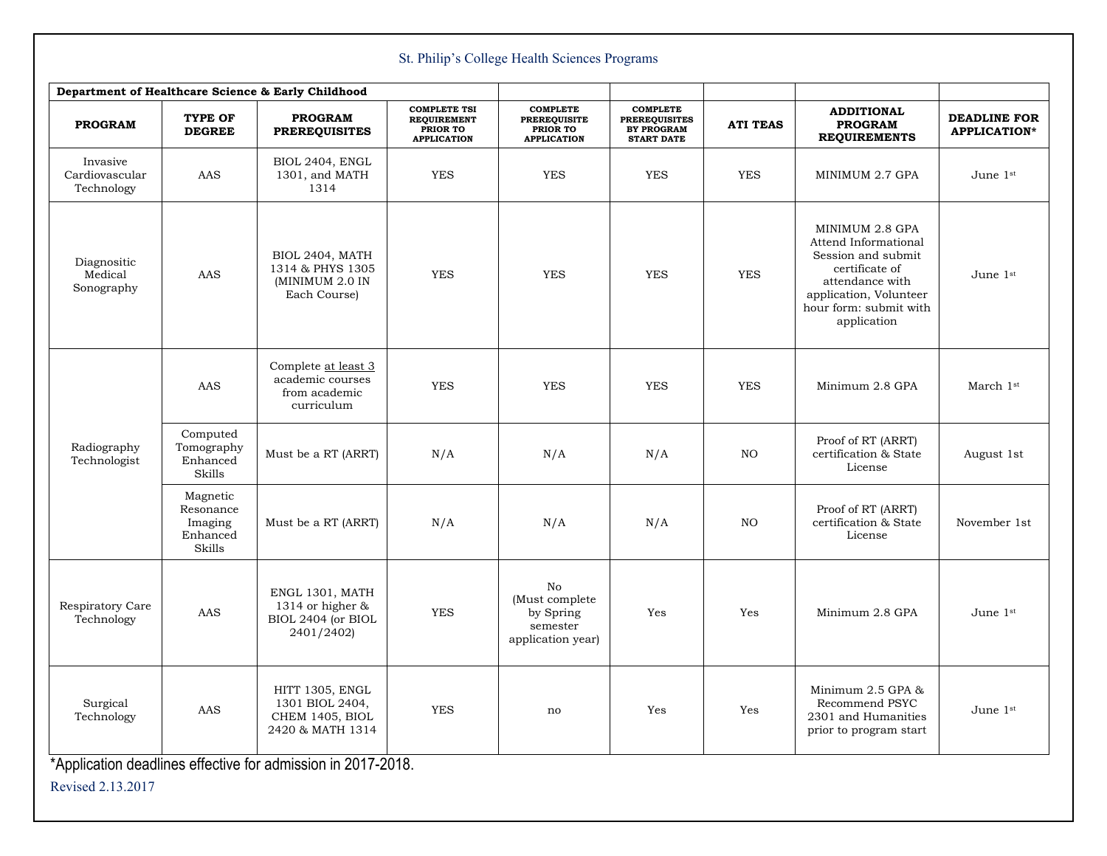| St. Philip's College Health Sciences Programs      |                                                        |                                                                            |                                                                             |                                                                          |                                                                                   |                 |                                                                                                                                                                       |                                            |  |  |  |  |
|----------------------------------------------------|--------------------------------------------------------|----------------------------------------------------------------------------|-----------------------------------------------------------------------------|--------------------------------------------------------------------------|-----------------------------------------------------------------------------------|-----------------|-----------------------------------------------------------------------------------------------------------------------------------------------------------------------|--------------------------------------------|--|--|--|--|
| Department of Healthcare Science & Early Childhood |                                                        |                                                                            |                                                                             |                                                                          |                                                                                   |                 |                                                                                                                                                                       |                                            |  |  |  |  |
| <b>PROGRAM</b>                                     | <b>TYPE OF</b><br><b>DEGREE</b>                        | <b>PROGRAM</b><br><b>PREREQUISITES</b>                                     | <b>COMPLETE TSI</b><br><b>REQUIREMENT</b><br>PRIOR TO<br><b>APPLICATION</b> | <b>COMPLETE</b><br><b>PREREQUISITE</b><br>PRIOR TO<br><b>APPLICATION</b> | <b>COMPLETE</b><br><b>PREREQUISITES</b><br><b>BY PROGRAM</b><br><b>START DATE</b> | <b>ATI TEAS</b> | <b>ADDITIONAL</b><br><b>PROGRAM</b><br><b>REQUIREMENTS</b>                                                                                                            | <b>DEADLINE FOR</b><br><b>APPLICATION*</b> |  |  |  |  |
| Invasive<br>Cardiovascular<br>Technology           | AAS                                                    | BIOL 2404, ENGL<br>1301, and MATH<br>1314                                  | YES                                                                         | <b>YES</b>                                                               | <b>YES</b>                                                                        | <b>YES</b>      | MINIMUM 2.7 GPA                                                                                                                                                       | June 1st                                   |  |  |  |  |
| Diagnositic<br>Medical<br>Sonography               | AAS                                                    | BIOL 2404, MATH<br>1314 & PHYS 1305<br>(MINIMUM 2.0 IN<br>Each Course)     | <b>YES</b>                                                                  | <b>YES</b>                                                               | <b>YES</b>                                                                        | <b>YES</b>      | MINIMUM 2.8 GPA<br>Attend Informational<br>Session and submit<br>certificate of<br>attendance with<br>application, Volunteer<br>hour form: submit with<br>application | June 1st                                   |  |  |  |  |
| Radiography<br>Technologist                        | AAS                                                    | Complete at least 3<br>academic courses<br>from academic<br>curriculum     | <b>YES</b>                                                                  | <b>YES</b>                                                               | <b>YES</b>                                                                        | <b>YES</b>      | Minimum 2.8 GPA                                                                                                                                                       | March 1st                                  |  |  |  |  |
|                                                    | Computed<br>Tomography<br>Enhanced<br>Skills           | Must be a RT (ARRT)                                                        | N/A                                                                         | N/A                                                                      | N/A                                                                               | NO              | Proof of RT (ARRT)<br>certification & State<br>License                                                                                                                | August 1st                                 |  |  |  |  |
|                                                    | Magnetic<br>Resonance<br>Imaging<br>Enhanced<br>Skills | Must be a RT (ARRT)                                                        | N/A                                                                         | N/A                                                                      | N/A                                                                               | NO              | Proof of RT (ARRT)<br>certification & State<br>License                                                                                                                | November 1st                               |  |  |  |  |
| Respiratory Care<br>Technology                     | AAS                                                    | ENGL 1301, MATH<br>1314 or higher $\&$<br>BIOL 2404 (or BIOL<br>2401/2402) | <b>YES</b>                                                                  | No<br>(Must complete<br>by Spring<br>semester<br>application year)       | Yes                                                                               | Yes             | Minimum 2.8 GPA                                                                                                                                                       | June 1st                                   |  |  |  |  |
| Surgical<br>Technology                             | AAS                                                    | HITT 1305, ENGL<br>1301 BIOL 2404,<br>CHEM 1405, BIOL<br>2420 & MATH 1314  | <b>YES</b>                                                                  | no                                                                       | Yes                                                                               | Yes             | Minimum 2.5 GPA &<br>Recommend PSYC<br>2301 and Humanities<br>prior to program start                                                                                  | June 1st                                   |  |  |  |  |

\*Application deadlines effective for admission in 2017-2018.

Revised 2.13.2017